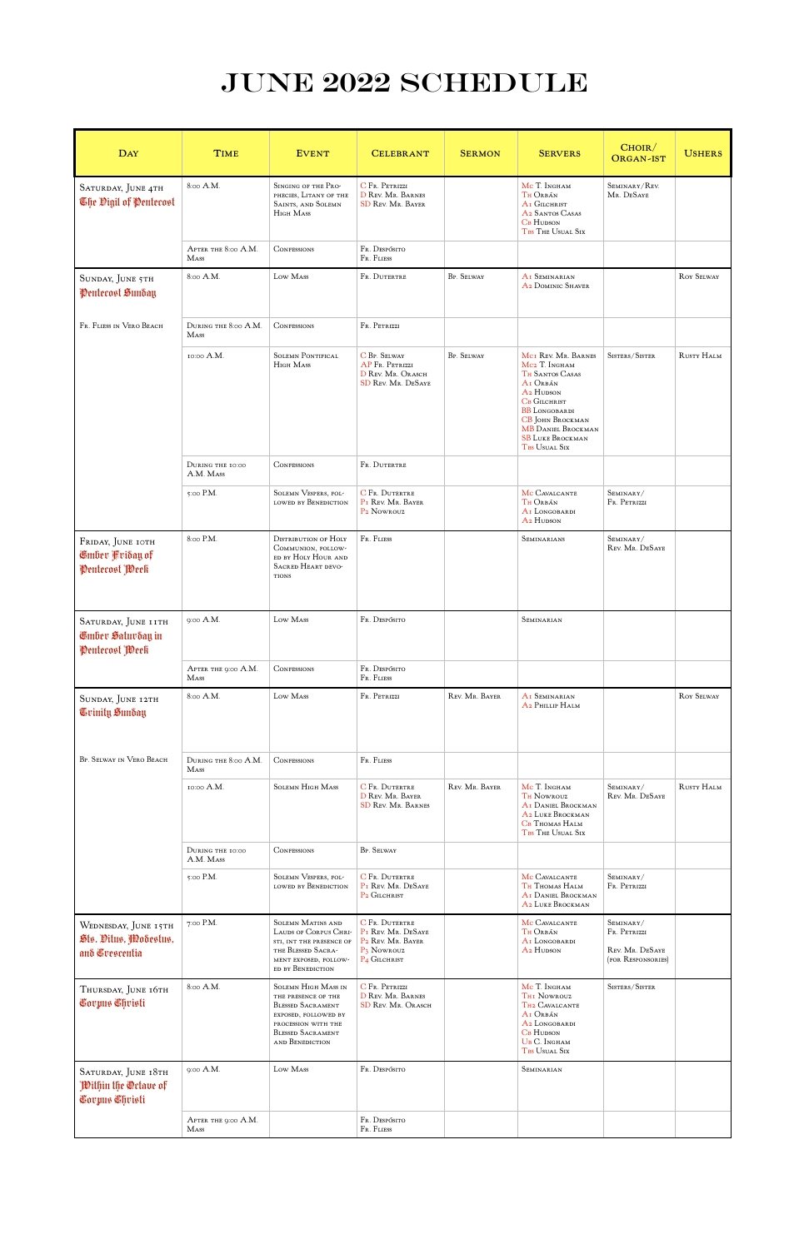## JUNE 2022 SCHEDULE

| <b>DAY</b>                                                         | <b>TIME</b>                         | <b>EVENT</b>                                                                                                                                                                | <b>CELEBRANT</b>                                                                                                | <b>SERMON</b>  | <b>SERVERS</b>                                                                                                                                                                                                                                       | CHOIR/<br><b>ORGAN-IST</b>                                                               | <b>USHERS</b>     |
|--------------------------------------------------------------------|-------------------------------------|-----------------------------------------------------------------------------------------------------------------------------------------------------------------------------|-----------------------------------------------------------------------------------------------------------------|----------------|------------------------------------------------------------------------------------------------------------------------------------------------------------------------------------------------------------------------------------------------------|------------------------------------------------------------------------------------------|-------------------|
| SATURDAY, JUNE 4TH<br>The Oigil of Pentecost                       | 8:00 A.M.                           | SINGING OF THE PRO-<br>PHECIES, LITANY OF THE<br><b>SAINTS, AND SOLEMN</b><br>HIGH MASS                                                                                     | C FR. PETRIZZI<br>D REV. MR. BARNES<br><b>SD REV. MR. BAYER</b>                                                 |                | Mc T. Ingham<br>Th Orbán<br>A <sub>I</sub> GILCHRIST<br>A2 SANTOS CASAS<br><b>CB</b> HUDSON<br>TBS THE USUAL SIX                                                                                                                                     | SEMINARY/REV.<br>MR. DESAYE                                                              |                   |
|                                                                    | AFTER THE 8:00 A.M.<br><b>M</b> ASS | <b>CONFESSIONS</b>                                                                                                                                                          | Fr. Despósito<br>FR. FLIESS                                                                                     |                |                                                                                                                                                                                                                                                      |                                                                                          |                   |
| SUNDAY, JUNE 5TH<br>Pentecost Sunday                               | 8:00 A.M.                           | Low Mass                                                                                                                                                                    | FR. DUTERTRE                                                                                                    | BP. SELWAY     | AI SEMINARIAN<br>A2 DOMINIC SHAVER                                                                                                                                                                                                                   |                                                                                          | <b>ROY SELWAY</b> |
| Fr. Fliess in Vero Beach                                           | DURING THE 8:00 A.M.<br><b>MASS</b> | <b>CONFESSIONS</b>                                                                                                                                                          | FR. PETRIZZI                                                                                                    |                |                                                                                                                                                                                                                                                      |                                                                                          |                   |
|                                                                    | 10:00 A.M.                          | <b>SOLEMN PONTIFICAL</b><br>HIGH MASS                                                                                                                                       | <b>C</b> BP. SELWAY<br>AP FR. PETRIZZI<br>D REV. MR. ORASCH<br><b>SD REV. MR. DESAYE</b>                        | BP. SELWAY     | MCI REV. MR. BARNES<br>Mc <sub>2</sub> T. Ingham<br><b>TH SANTOS CASAS</b><br>AI ORBÁN<br>A <sub>2</sub> HUDSON<br>CB GILCHRIST<br><b>BB</b> LONGOBARDI<br>CB JOHN BROCKMAN<br><b>MB DANIEL BROCKMAN</b><br><b>SB LUKE BROCKMAN</b><br>TBS USUAL SIX | SISTERS/SISTER                                                                           | RUSTY HALM        |
|                                                                    | DURING THE 10:00<br>A.M. Mass       | <b>CONFESSIONS</b>                                                                                                                                                          | FR. DUTERTRE                                                                                                    |                |                                                                                                                                                                                                                                                      |                                                                                          |                   |
|                                                                    | 5:00 P.M.                           | <b>SOLEMN VESPERS, FOL-</b><br>LOWED BY BENEDICTION                                                                                                                         | <b>C</b> FR. DUTERTRE<br>PI REV. MR. BAYER<br>P <sub>2</sub> Nowrouz                                            |                | MC CAVALCANTE<br>TH ORBÁN<br>AI LONGOBARDI<br>A <sub>2</sub> HUDSON                                                                                                                                                                                  | SEMINARY/<br>Fr. Petrizzi                                                                |                   |
| FRIDAY, JUNE IOTH<br>Gmber Kriday of<br>Penterost Week             | 8:00 P.M.                           | <b>DISTRIBUTION OF HOLY</b><br>COMMUNION, FOLLOW-<br>ED BY HOLY HOUR AND<br>SACRED HEART DEVO-<br><b>TIONS</b>                                                              | Fr. Fliess                                                                                                      |                | SEMINARIANS                                                                                                                                                                                                                                          | SEMINARY/<br>Rev. Mr. DeSaye                                                             |                   |
| SATURDAY, JUNE IITH<br><b>C</b> mber Saturday in<br>Penterost Week | 9:00 A.M.                           | Low Mass                                                                                                                                                                    | FR. DESPÓSITO                                                                                                   |                | SEMINARIAN                                                                                                                                                                                                                                           |                                                                                          |                   |
|                                                                    | AFTER THE 9:00 A.M.<br>MASS         | CONFESSIONS                                                                                                                                                                 | Fr. Despósito<br>FR. FLIESS                                                                                     |                |                                                                                                                                                                                                                                                      |                                                                                          |                   |
| SUNDAY, JUNE 12TH<br>Grimity Sunday                                | 8:00 A.M.                           | Low Mass                                                                                                                                                                    | FR. PETRIZZI                                                                                                    | REV. MR. BAYER | AI SEMINARIAN<br>A <sub>2</sub> PHILLIP HALM                                                                                                                                                                                                         |                                                                                          | <b>ROY SELWAY</b> |
| BP. SELWAY IN VERO BEACH                                           | DURING THE 8:00 A.M.<br><b>MASS</b> | <b>CONFESSIONS</b>                                                                                                                                                          | FR. FLIESS                                                                                                      |                |                                                                                                                                                                                                                                                      |                                                                                          |                   |
|                                                                    | 10:00 A.M.                          | <b>SOLEMN HIGH MASS</b>                                                                                                                                                     | C FR. DUTERTRE<br>D REV. MR. BAYER<br><b>SD REV. MR. BARNES</b>                                                 | REV. MR. BAYER | Mc T. Ingham<br><b>TH NOWROUZ</b><br><b>AI DANIEL BROCKMAN</b><br>A2 LUKE BROCKMAN<br><b>CB</b> THOMAS HALM<br>TBS THE USUAL SIX                                                                                                                     | SEMINARY/<br>Rev. Mr. DeSaye                                                             | RUSTY HALM        |
|                                                                    | DURING THE 10:00<br>A.M. Mass       | <b>CONFESSIONS</b>                                                                                                                                                          | <b>BP.</b> SELWAY                                                                                               |                |                                                                                                                                                                                                                                                      |                                                                                          |                   |
|                                                                    | 5:00 P.M.                           | <b>SOLEMN VESPERS, FOL-</b><br>LOWED BY BENEDICTION                                                                                                                         | C FR. DUTERTRE<br>PI REV. MR. DESAYE<br>P <sub>2</sub> GILCHRIST                                                |                | MC CAVALCANTE<br><b>TH THOMAS HALM</b><br><b>AI DANIEL BROCKMAN</b><br>A2 LUKE BROCKMAN                                                                                                                                                              | SEMINARY/<br>Fr. Petrizzi                                                                |                   |
| WEDNESDAY, JUNE 15TH<br>Sts. Ditus, Modestus,<br>and Crescentia    | 7:00 P.M.                           | <b>SOLEMN MATINS AND</b><br>LAUDS OF CORPUS CHRI-<br>STI, INT THE PRESENCE OF<br>THE BLESSED SACRA-<br>MENT EXPOSED, FOLLOW-<br>ED BY BENEDICTION                           | C FR. DUTERTRE<br>PI REV. MR. DESAYE<br>P2 REV. MR. BAYER<br>P <sub>3</sub> Nowrouz<br>P <sub>4</sub> GILCHRIST |                | MC CAVALCANTE<br>TH ORBÁN<br>AI LONGOBARDI<br>A <sub>2</sub> HUDSON                                                                                                                                                                                  | SEMINARY/<br>Fr. Petrizzi<br>Rev. Mr. DeSaye<br>(FOR RESPONSORIES)                       |                   |
| THURSDAY, JUNE 16TH<br>Covpus Chvisti                              | 8:00 A.M.                           | <b>SOLEMN HIGH MASS IN</b><br>THE PRESENCE OF THE<br><b>BLESSED SACRAMENT</b><br>EXPOSED, FOLLOWED BY<br>PROCESSION WITH THE<br><b>BLESSED SACRAMENT</b><br>AND BENEDICTION | C FR. PETRIZZI<br>D REV. MR. BARNES<br><b>SD REV. MR. ORASCH</b>                                                |                | Mc T. Ingham<br><b>THI NOWROUZ</b><br>TH2 CAVALCANTE<br>AI ORBÁN<br>A2 LONGOBARDI<br><b>CB</b> HUDSON<br>UB C. INGHAM<br>TBS USUAL SIX                                                                                                               | $\mathrm{S}\textsc{is} \mathrm{c}\textsc{is}/\mathrm{S}\textsc{is} \mathrm{c}\mathrm{e}$ |                   |
| SATURDAY, JUNE 18TH<br>Within the Octave of<br>Corpus Christi      | 9:00 A.M.                           | Low Mass                                                                                                                                                                    | Fr. Despósito                                                                                                   |                | SEMINARIAN                                                                                                                                                                                                                                           |                                                                                          |                   |
|                                                                    | AFTER THE 9:00 A.M.<br>Mass         |                                                                                                                                                                             | Fr. Despósito<br>FR. FLIESS                                                                                     |                |                                                                                                                                                                                                                                                      |                                                                                          |                   |